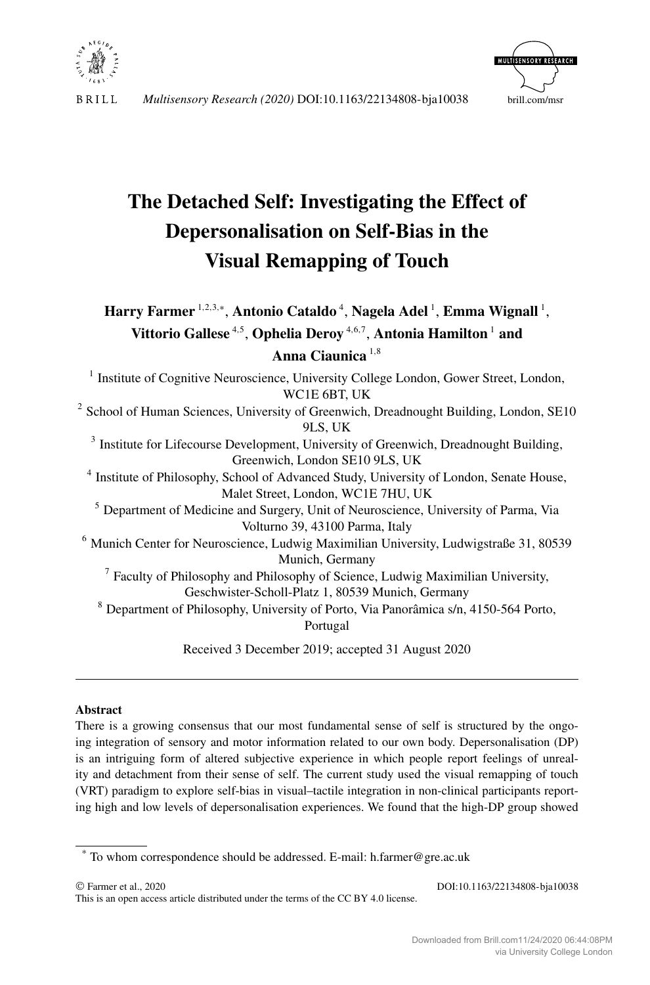

*Multisensory Research (2020)* DOI[:10.1163/22134808-bja10038](http://dx.doi.org/10.1163/22134808-bja10038) [brill.com/msr](http://www.brill.com/publications/journals/multisensory-research)



# **The Detached Self: Investigating the Effect of Depersonalisation on Self-Bias in the Visual Remapping of Touch**

**Harry Farmer** <sup>1</sup>*,*2*,*3*,*<sup>∗</sup> , **Antonio Cataldo** <sup>4</sup> , **Nagela Adel** <sup>1</sup> , **Emma Wignall** <sup>1</sup> , **Vittorio Gallese** <sup>4</sup>*,*<sup>5</sup> , **Ophelia Deroy** <sup>4</sup>*,*6*,*<sup>7</sup> , **Antonia Hamilton** <sup>1</sup> **and Anna Ciaunica** <sup>1</sup>*,*<sup>8</sup>

<sup>1</sup> Institute of Cognitive Neuroscience, University College London, Gower Street, London, WC1E 6BT, UK

<sup>2</sup> School of Human Sciences, University of Greenwich, Dreadnought Building, London, SE10 9LS, UK

<sup>3</sup> Institute for Lifecourse Development, University of Greenwich, Dreadnought Building, Greenwich, London SE10 9LS, UK

<sup>4</sup> Institute of Philosophy, School of Advanced Study, University of London, Senate House, Malet Street, London, WC1E 7HU, UK

<sup>5</sup> Department of Medicine and Surgery, Unit of Neuroscience, University of Parma, Via Volturno 39, 43100 Parma, Italy

<sup>6</sup> Munich Center for Neuroscience, Ludwig Maximilian University, Ludwigstraße 31, 80539 Munich, Germany

<sup>7</sup> Faculty of Philosophy and Philosophy of Science, Ludwig Maximilian University, Geschwister-Scholl-Platz 1, 80539 Munich, Germany

<sup>8</sup> Department of Philosophy, University of Porto, Via Panorâmica s/n, 4150-564 Porto, Portugal

Received 3 December 2019; accepted 31 August 2020

#### **Abstract**

There is a growing consensus that our most fundamental sense of self is structured by the ongoing integration of sensory and motor information related to our own body. Depersonalisation (DP) is an intriguing form of altered subjective experience in which people report feelings of unreality and detachment from their sense of self. The current study used the visual remapping of touch (VRT) paradigm to explore self-bias in visual–tactile integration in non-clinical participants reporting high and low levels of depersonalisation experiences. We found that the high-DP group showed

<sup>\*</sup> To whom correspondence should be addressed. E-mail: [h.farmer@gre.ac.uk](mailto:h.farmer@gre.ac.uk)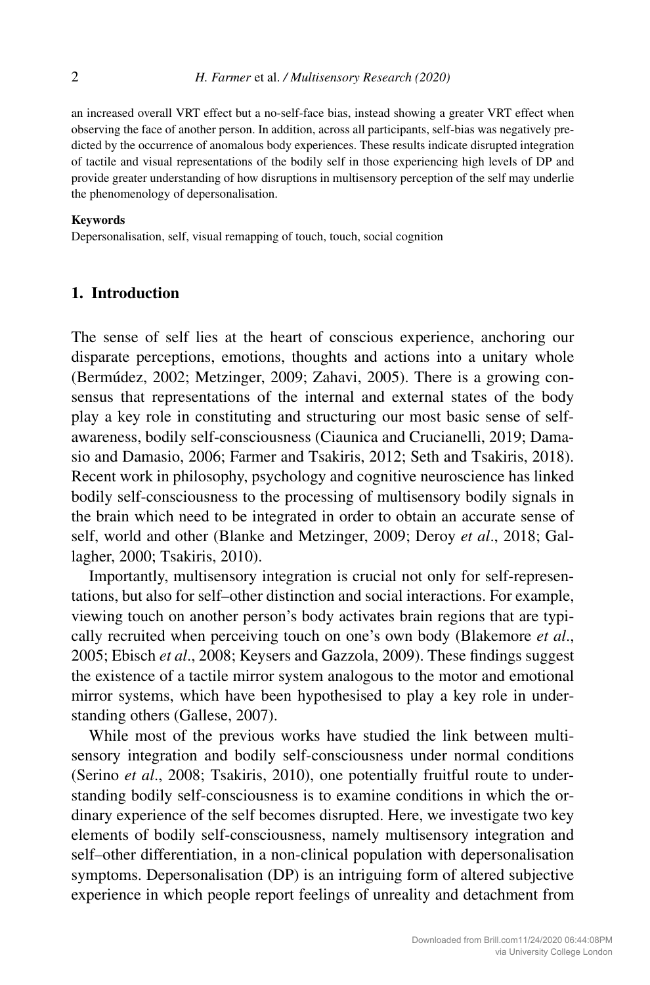an increased overall VRT effect but a no-self-face bias, instead showing a greater VRT effect when observing the face of another person. In addition, across all participants, self-bias was negatively predicted by the occurrence of anomalous body experiences. These results indicate disrupted integration of tactile and visual representations of the bodily self in those experiencing high levels of DP and provide greater understanding of how disruptions in multisensory perception of the self may underlie the phenomenology of depersonalisation.

#### **Keywords**

Depersonalisation, self, visual remapping of touch, touch, social cognition

### **1. Introduction**

The sense of self lies at the heart of conscious experience, anchoring our disparate perceptions, emotions, thoughts and actions into a unitary whole (Bermúdez, 2002; Metzinger, 2009; Zahavi, 2005). There is a growing consensus that representations of the internal and external states of the body play a key role in constituting and structuring our most basic sense of selfawareness, bodily self-consciousness (Ciaunica and Crucianelli, 2019; Damasio and Damasio, 2006; Farmer and Tsakiris, 2012; Seth and Tsakiris, 2018). Recent work in philosophy, psychology and cognitive neuroscience has linked bodily self-consciousness to the processing of multisensory bodily signals in the brain which need to be integrated in order to obtain an accurate sense of self, world and other (Blanke and Metzinger, 2009; Deroy *et al*., 2018; Gallagher, 2000; Tsakiris, 2010).

Importantly, multisensory integration is crucial not only for self-representations, but also for self–other distinction and social interactions. For example, viewing touch on another person's body activates brain regions that are typically recruited when perceiving touch on one's own body (Blakemore *et al*., 2005; Ebisch *et al*., 2008; Keysers and Gazzola, 2009). These findings suggest the existence of a tactile mirror system analogous to the motor and emotional mirror systems, which have been hypothesised to play a key role in understanding others (Gallese, 2007).

While most of the previous works have studied the link between multisensory integration and bodily self-consciousness under normal conditions (Serino *et al*., 2008; Tsakiris, 2010), one potentially fruitful route to understanding bodily self-consciousness is to examine conditions in which the ordinary experience of the self becomes disrupted. Here, we investigate two key elements of bodily self-consciousness, namely multisensory integration and self–other differentiation, in a non-clinical population with depersonalisation symptoms. Depersonalisation (DP) is an intriguing form of altered subjective experience in which people report feelings of unreality and detachment from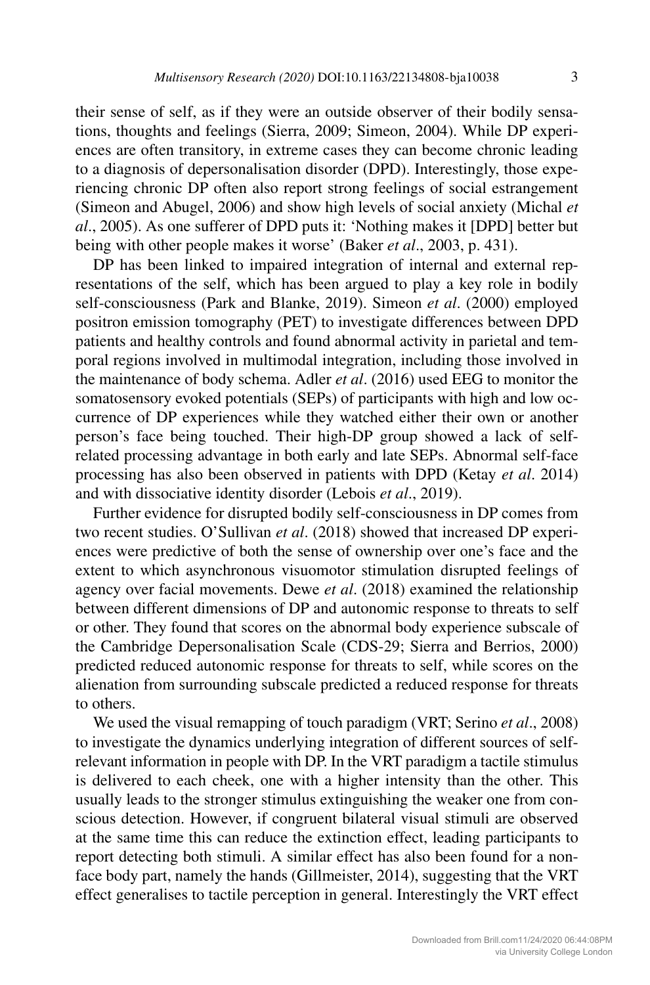their sense of self, as if they were an outside observer of their bodily sensations, thoughts and feelings (Sierra, 2009; Simeon, 2004). While DP experiences are often transitory, in extreme cases they can become chronic leading to a diagnosis of depersonalisation disorder (DPD). Interestingly, those experiencing chronic DP often also report strong feelings of social estrangement (Simeon and Abugel, 2006) and show high levels of social anxiety (Michal *et al*., 2005). As one sufferer of DPD puts it: 'Nothing makes it [DPD] better but being with other people makes it worse' (Baker *et al*., 2003, p. 431).

DP has been linked to impaired integration of internal and external representations of the self, which has been argued to play a key role in bodily self-consciousness (Park and Blanke, 2019). Simeon *et al*. (2000) employed positron emission tomography (PET) to investigate differences between DPD patients and healthy controls and found abnormal activity in parietal and temporal regions involved in multimodal integration, including those involved in the maintenance of body schema. Adler *et al*. (2016) used EEG to monitor the somatosensory evoked potentials (SEPs) of participants with high and low occurrence of DP experiences while they watched either their own or another person's face being touched. Their high-DP group showed a lack of selfrelated processing advantage in both early and late SEPs. Abnormal self-face processing has also been observed in patients with DPD (Ketay *et al*. 2014) and with dissociative identity disorder (Lebois *et al*., 2019).

Further evidence for disrupted bodily self-consciousness in DP comes from two recent studies. O'Sullivan *et al*. (2018) showed that increased DP experiences were predictive of both the sense of ownership over one's face and the extent to which asynchronous visuomotor stimulation disrupted feelings of agency over facial movements. Dewe *et al*. (2018) examined the relationship between different dimensions of DP and autonomic response to threats to self or other. They found that scores on the abnormal body experience subscale of the Cambridge Depersonalisation Scale (CDS-29; Sierra and Berrios, 2000) predicted reduced autonomic response for threats to self, while scores on the alienation from surrounding subscale predicted a reduced response for threats to others.

We used the visual remapping of touch paradigm (VRT; Serino *et al*., 2008) to investigate the dynamics underlying integration of different sources of selfrelevant information in people with DP. In the VRT paradigm a tactile stimulus is delivered to each cheek, one with a higher intensity than the other. This usually leads to the stronger stimulus extinguishing the weaker one from conscious detection. However, if congruent bilateral visual stimuli are observed at the same time this can reduce the extinction effect, leading participants to report detecting both stimuli. A similar effect has also been found for a nonface body part, namely the hands (Gillmeister, 2014), suggesting that the VRT effect generalises to tactile perception in general. Interestingly the VRT effect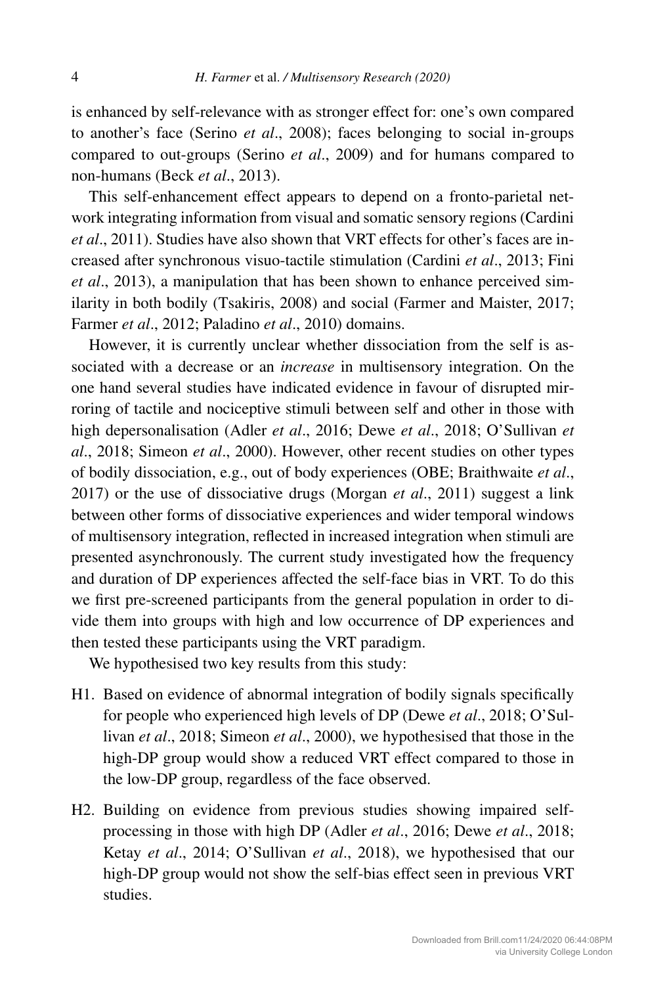is enhanced by self-relevance with as stronger effect for: one's own compared to another's face (Serino *et al*., 2008); faces belonging to social in-groups compared to out-groups (Serino *et al*., 2009) and for humans compared to non-humans (Beck *et al*., 2013).

This self-enhancement effect appears to depend on a fronto-parietal network integrating information from visual and somatic sensory regions (Cardini *et al*., 2011). Studies have also shown that VRT effects for other's faces are increased after synchronous visuo-tactile stimulation (Cardini *et al*., 2013; Fini *et al*., 2013), a manipulation that has been shown to enhance perceived similarity in both bodily (Tsakiris, 2008) and social (Farmer and Maister, 2017; Farmer *et al*., 2012; Paladino *et al*., 2010) domains.

However, it is currently unclear whether dissociation from the self is associated with a decrease or an *increase* in multisensory integration. On the one hand several studies have indicated evidence in favour of disrupted mirroring of tactile and nociceptive stimuli between self and other in those with high depersonalisation (Adler *et al*., 2016; Dewe *et al*., 2018; O'Sullivan *et al*., 2018; Simeon *et al*., 2000). However, other recent studies on other types of bodily dissociation, e.g., out of body experiences (OBE; Braithwaite *et al*., 2017) or the use of dissociative drugs (Morgan *et al*., 2011) suggest a link between other forms of dissociative experiences and wider temporal windows of multisensory integration, reflected in increased integration when stimuli are presented asynchronously. The current study investigated how the frequency and duration of DP experiences affected the self-face bias in VRT. To do this we first pre-screened participants from the general population in order to divide them into groups with high and low occurrence of DP experiences and then tested these participants using the VRT paradigm.

We hypothesised two key results from this study:

- H1. Based on evidence of abnormal integration of bodily signals specifically for people who experienced high levels of DP (Dewe *et al*., 2018; O'Sullivan *et al*., 2018; Simeon *et al*., 2000), we hypothesised that those in the high-DP group would show a reduced VRT effect compared to those in the low-DP group, regardless of the face observed.
- H2. Building on evidence from previous studies showing impaired selfprocessing in those with high DP (Adler *et al*., 2016; Dewe *et al*., 2018; Ketay *et al*., 2014; O'Sullivan *et al*., 2018), we hypothesised that our high-DP group would not show the self-bias effect seen in previous VRT studies.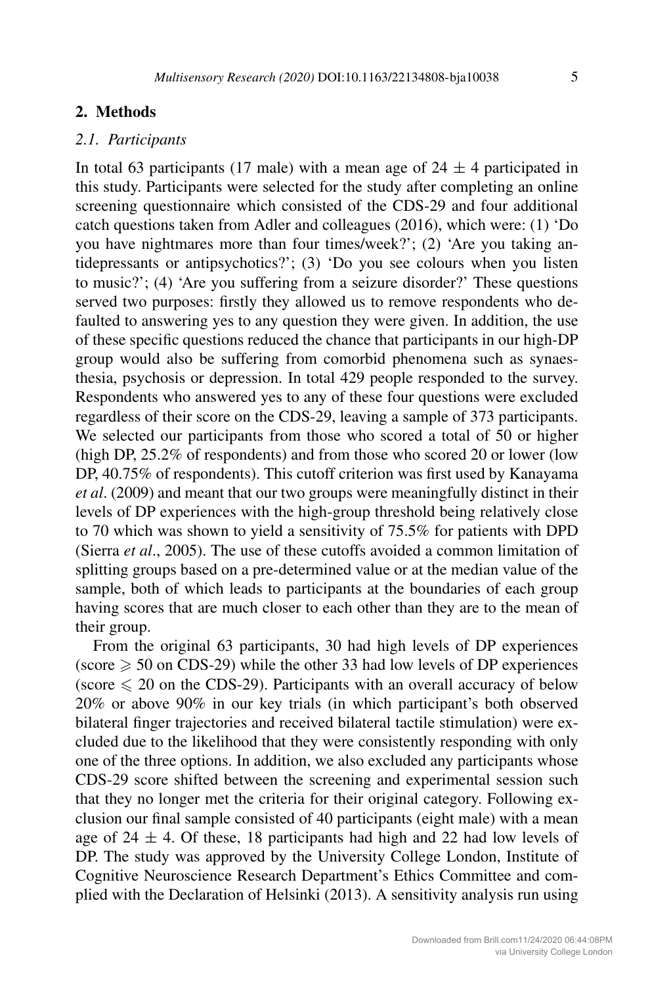#### **2. Methods**

### *2.1. Participants*

In total 63 participants (17 male) with a mean age of  $24 \pm 4$  participated in this study. Participants were selected for the study after completing an online screening questionnaire which consisted of the CDS-29 and four additional catch questions taken from Adler and colleagues (2016), which were: (1) 'Do you have nightmares more than four times/week?'; (2) 'Are you taking antidepressants or antipsychotics?'; (3) 'Do you see colours when you listen to music?'; (4) 'Are you suffering from a seizure disorder?' These questions served two purposes: firstly they allowed us to remove respondents who defaulted to answering yes to any question they were given. In addition, the use of these specific questions reduced the chance that participants in our high-DP group would also be suffering from comorbid phenomena such as synaesthesia, psychosis or depression. In total 429 people responded to the survey. Respondents who answered yes to any of these four questions were excluded regardless of their score on the CDS-29, leaving a sample of 373 participants. We selected our participants from those who scored a total of 50 or higher (high DP, 25.2% of respondents) and from those who scored 20 or lower (low DP, 40.75% of respondents). This cutoff criterion was first used by Kanayama *et al*. (2009) and meant that our two groups were meaningfully distinct in their levels of DP experiences with the high-group threshold being relatively close to 70 which was shown to yield a sensitivity of 75.5% for patients with DPD (Sierra *et al*., 2005). The use of these cutoffs avoided a common limitation of splitting groups based on a pre-determined value or at the median value of the sample, both of which leads to participants at the boundaries of each group having scores that are much closer to each other than they are to the mean of their group.

From the original 63 participants, 30 had high levels of DP experiences  $(\text{score} \geq 50 \text{ on} \text{CDS-29})$  while the other 33 had low levels of DP experiences (score  $\leq 20$  on the CDS-29). Participants with an overall accuracy of below 20% or above 90% in our key trials (in which participant's both observed bilateral finger trajectories and received bilateral tactile stimulation) were excluded due to the likelihood that they were consistently responding with only one of the three options. In addition, we also excluded any participants whose CDS-29 score shifted between the screening and experimental session such that they no longer met the criteria for their original category. Following exclusion our final sample consisted of 40 participants (eight male) with a mean age of  $24 \pm 4$ . Of these, 18 participants had high and 22 had low levels of DP. The study was approved by the University College London, Institute of Cognitive Neuroscience Research Department's Ethics Committee and complied with the Declaration of Helsinki (2013). A sensitivity analysis run using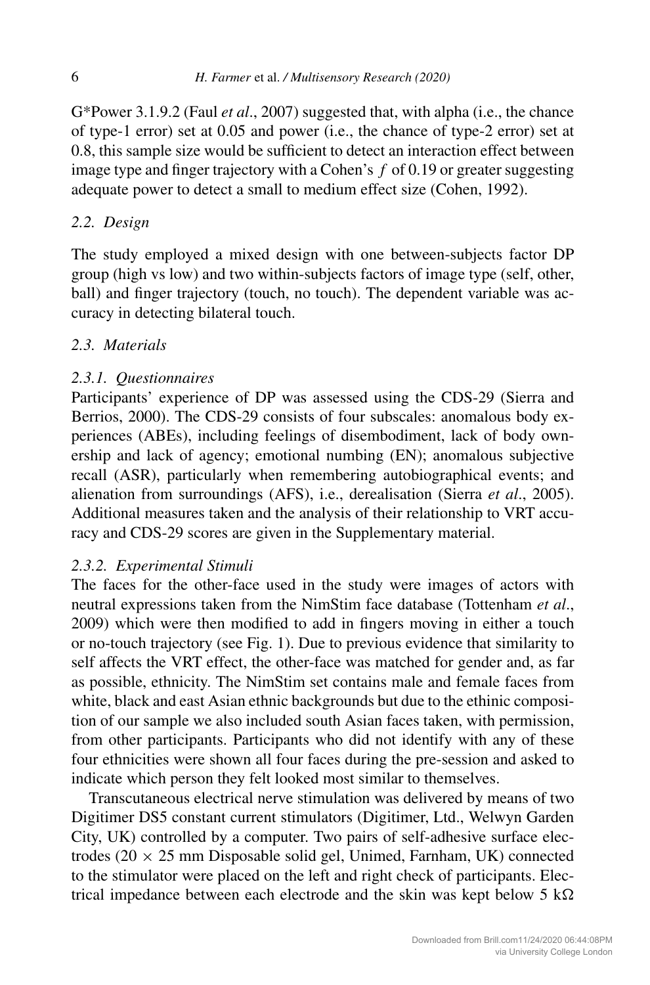G\*Power 3.1.9.2 (Faul *et al*., 2007) suggested that, with alpha (i.e., the chance of type-1 error) set at 0.05 and power (i.e., the chance of type-2 error) set at 0.8, this sample size would be sufficient to detect an interaction effect between image type and finger trajectory with a Cohen's *f* of 0.19 or greater suggesting adequate power to detect a small to medium effect size (Cohen, 1992).

# *2.2. Design*

The study employed a mixed design with one between-subjects factor DP group (high vs low) and two within-subjects factors of image type (self, other, ball) and finger trajectory (touch, no touch). The dependent variable was accuracy in detecting bilateral touch.

# *2.3. Materials*

# *2.3.1. Questionnaires*

Participants' experience of DP was assessed using the CDS-29 (Sierra and Berrios, 2000). The CDS-29 consists of four subscales: anomalous body experiences (ABEs), including feelings of disembodiment, lack of body ownership and lack of agency; emotional numbing (EN); anomalous subjective recall (ASR), particularly when remembering autobiographical events; and alienation from surroundings (AFS), i.e., derealisation (Sierra *et al*., 2005). Additional measures taken and the analysis of their relationship to VRT accuracy and CDS-29 scores are given in the [Supplementary material](https://doi.org/10.6084/m9.figshare.13032395).

# *2.3.2. Experimental Stimuli*

The faces for the other-face used in the study were images of actors with neutral expressions taken from the NimStim face database (Tottenham *et al*., 2009) which were then modified to add in fingers moving in either a touch or no-touch trajectory (see Fig. 1). Due to previous evidence that similarity to self affects the VRT effect, the other-face was matched for gender and, as far as possible, ethnicity. The NimStim set contains male and female faces from white, black and east Asian ethnic backgrounds but due to the ethinic composition of our sample we also included south Asian faces taken, with permission, from other participants. Participants who did not identify with any of these four ethnicities were shown all four faces during the pre-session and asked to indicate which person they felt looked most similar to themselves.

Transcutaneous electrical nerve stimulation was delivered by means of two Digitimer DS5 constant current stimulators (Digitimer, Ltd., Welwyn Garden City, UK) controlled by a computer. Two pairs of self-adhesive surface electrodes ( $20 \times 25$  mm Disposable solid gel, Unimed, Farnham, UK) connected to the stimulator were placed on the left and right check of participants. Electrical impedance between each electrode and the skin was kept below  $5 \text{ k}\Omega$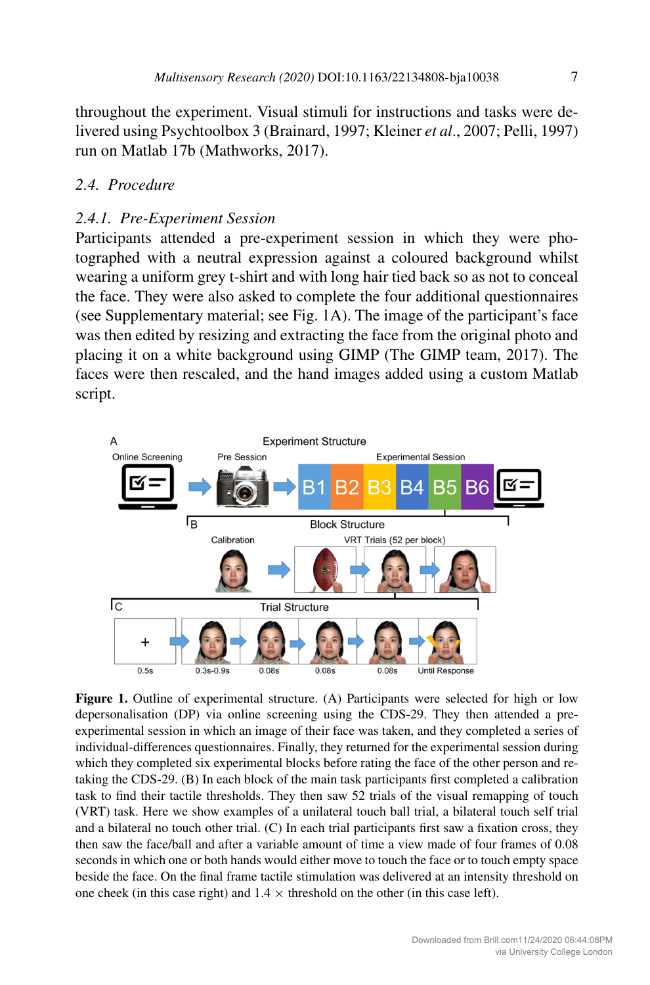throughout the experiment. Visual stimuli for instructions and tasks were delivered using Psychtoolbox 3 (Brainard, 1997; Kleiner *et al*., 2007; Pelli, 1997) run on Matlab 17b (Mathworks, 2017).

# *2.4. Procedure*

# *2.4.1. Pre-Experiment Session*

Participants attended a pre-experiment session in which they were photographed with a neutral expression against a coloured background whilst wearing a uniform grey t-shirt and with long hair tied back so as not to conceal the face. They were also asked to complete the four additional questionnaires (see [Supplementary material;](https://doi.org/10.6084/m9.figshare.13032395) see Fig. 1A). The image of the participant's face was then edited by resizing and extracting the face from the original photo and placing it on a white background using GIMP (The GIMP team, 2017). The faces were then rescaled, and the hand images added using a custom Matlab script.



**Figure 1.** Outline of experimental structure. (A) Participants were selected for high or low depersonalisation (DP) via online screening using the CDS-29. They then attended a preexperimental session in which an image of their face was taken, and they completed a series of individual-differences questionnaires. Finally, they returned for the experimental session during which they completed six experimental blocks before rating the face of the other person and retaking the CDS-29. (B) In each block of the main task participants first completed a calibration task to find their tactile thresholds. They then saw 52 trials of the visual remapping of touch (VRT) task. Here we show examples of a unilateral touch ball trial, a bilateral touch self trial and a bilateral no touch other trial. (C) In each trial participants first saw a fixation cross, they then saw the face/ball and after a variable amount of time a view made of four frames of 0.08 seconds in which one or both hands would either move to touch the face or to touch empty space beside the face. On the final frame tactile stimulation was delivered at an intensity threshold on one cheek (in this case right) and  $1.4 \times$  threshold on the other (in this case left).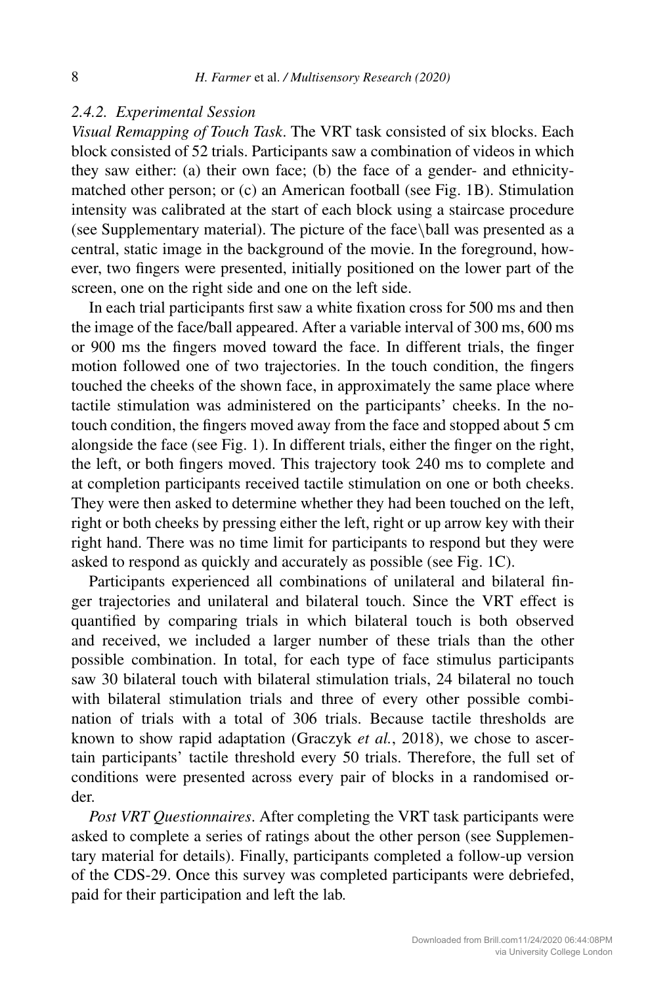### *2.4.2. Experimental Session*

*Visual Remapping of Touch Task*. The VRT task consisted of six blocks. Each block consisted of 52 trials. Participants saw a combination of videos in which they saw either: (a) their own face; (b) the face of a gender- and ethnicitymatched other person; or (c) an American football (see Fig. 1B). Stimulation intensity was calibrated at the start of each block using a staircase procedure (see [Supplementary material\)](https://doi.org/10.6084/m9.figshare.13032395). The picture of the face\ball was presented as a central, static image in the background of the movie. In the foreground, however, two fingers were presented, initially positioned on the lower part of the screen, one on the right side and one on the left side.

In each trial participants first saw a white fixation cross for 500 ms and then the image of the face/ball appeared. After a variable interval of 300 ms, 600 ms or 900 ms the fingers moved toward the face. In different trials, the finger motion followed one of two trajectories. In the touch condition, the fingers touched the cheeks of the shown face, in approximately the same place where tactile stimulation was administered on the participants' cheeks. In the notouch condition, the fingers moved away from the face and stopped about 5 cm alongside the face (see Fig. 1). In different trials, either the finger on the right, the left, or both fingers moved. This trajectory took 240 ms to complete and at completion participants received tactile stimulation on one or both cheeks. They were then asked to determine whether they had been touched on the left, right or both cheeks by pressing either the left, right or up arrow key with their right hand. There was no time limit for participants to respond but they were asked to respond as quickly and accurately as possible (see Fig. 1C).

Participants experienced all combinations of unilateral and bilateral finger trajectories and unilateral and bilateral touch. Since the VRT effect is quantified by comparing trials in which bilateral touch is both observed and received, we included a larger number of these trials than the other possible combination. In total, for each type of face stimulus participants saw 30 bilateral touch with bilateral stimulation trials, 24 bilateral no touch with bilateral stimulation trials and three of every other possible combination of trials with a total of 306 trials. Because tactile thresholds are known to show rapid adaptation (Graczyk *et al.*, 2018), we chose to ascertain participants' tactile threshold every 50 trials. Therefore, the full set of conditions were presented across every pair of blocks in a randomised order.

*Post VRT Questionnaires*. After completing the VRT task participants were asked to complete a series of ratings about the other person (see [Supplemen](https://doi.org/10.6084/m9.figshare.13032395)[tary material](https://doi.org/10.6084/m9.figshare.13032395) for details). Finally, participants completed a follow-up version of the CDS-29. Once this survey was completed participants were debriefed, paid for their participation and left the lab.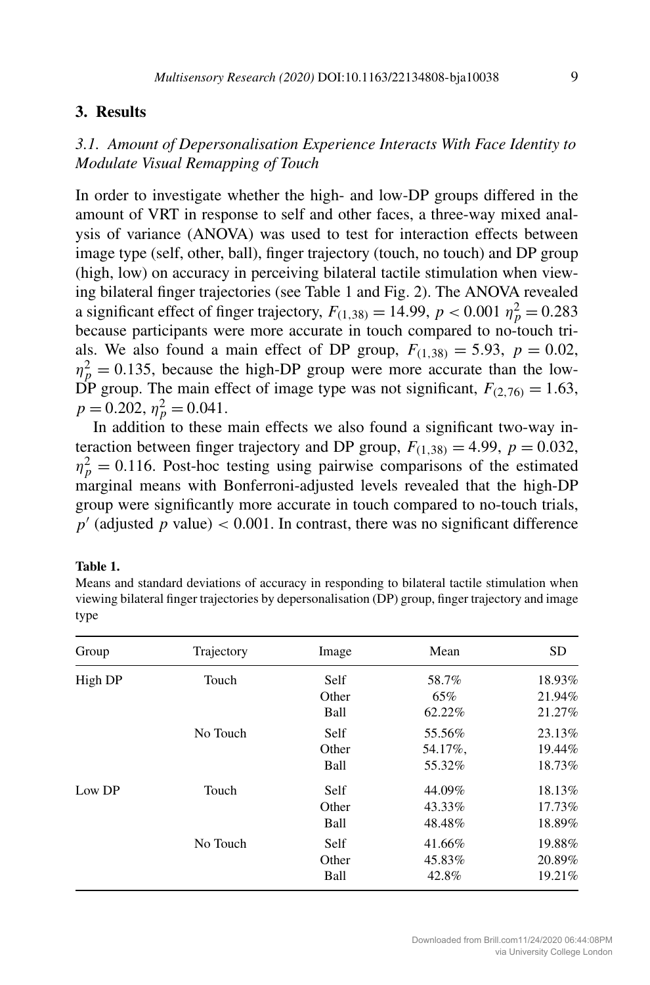#### **3. Results**

## *3.1. Amount of Depersonalisation Experience Interacts With Face Identity to Modulate Visual Remapping of Touch*

In order to investigate whether the high- and low-DP groups differed in the amount of VRT in response to self and other faces, a three-way mixed analysis of variance (ANOVA) was used to test for interaction effects between image type (self, other, ball), finger trajectory (touch, no touch) and DP group (high, low) on accuracy in perceiving bilateral tactile stimulation when viewing bilateral finger trajectories (see Table 1 and Fig. 2). The ANOVA revealed a significant effect of finger trajectory,  $F_{(1,38)} = 14.99$ ,  $p < 0.001$   $\eta_p^2 = 0.283$ because participants were more accurate in touch compared to no-touch trials. We also found a main effect of DP group,  $F_{(1,38)} = 5.93$ ,  $p = 0.02$ ,  $\eta_p^2 = 0.135$ , because the high-DP group were more accurate than the low-DP group. The main effect of image type was not significant,  $F_{(2,76)} = 1.63$ ,  $p = 0.202, \eta_p^2 = 0.041.$ 

In addition to these main effects we also found a significant two-way interaction between finger trajectory and DP group,  $F_{(1,38)} = 4.99$ ,  $p = 0.032$ ,  $\eta_p^2 = 0.116$ . Post-hoc testing using pairwise comparisons of the estimated marginal means with Bonferroni-adjusted levels revealed that the high-DP group were significantly more accurate in touch compared to no-touch trials,  $p'$  (adjusted *p* value)  $< 0.001$ . In contrast, there was no significant difference

#### **Table 1.**

Means and standard deviations of accuracy in responding to bilateral tactile stimulation when viewing bilateral finger trajectories by depersonalisation (DP) group, finger trajectory and image type

| Group   | Trajectory | Image | Mean    | <b>SD</b> |
|---------|------------|-------|---------|-----------|
| High DP | Touch      | Self  | 58.7%   | 18.93%    |
|         |            | Other | 65%     | 21.94%    |
|         |            | Ball  | 62.22%  | 21.27%    |
|         | No Touch   | Self  | 55.56%  | 23.13%    |
|         |            | Other | 54.17%, | 19.44%    |
|         |            | Ball  | 55.32%  | 18.73%    |
| Low DP  | Touch      | Self  | 44.09%  | 18.13%    |
|         |            | Other | 43.33%  | 17.73%    |
|         |            | Ball  | 48.48%  | 18.89%    |
|         | No Touch   | Self  | 41.66%  | 19.88%    |
|         |            | Other | 45.83%  | 20.89%    |
|         |            | Ball  | 42.8%   | 19.21\%   |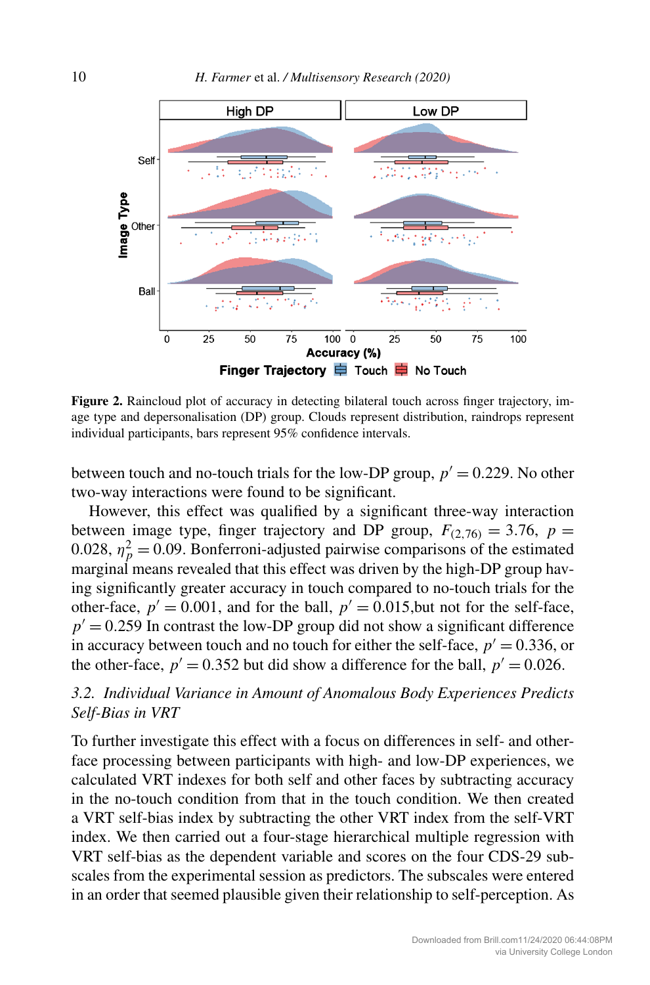

**Figure 2.** Raincloud plot of accuracy in detecting bilateral touch across finger trajectory, image type and depersonalisation (DP) group. Clouds represent distribution, raindrops represent individual participants, bars represent 95% confidence intervals.

between touch and no-touch trials for the low-DP group,  $p' = 0.229$ . No other two-way interactions were found to be significant.

However, this effect was qualified by a significant three-way interaction between image type, finger trajectory and DP group,  $F_{(2,76)} = 3.76$ ,  $p =$ 0.028,  $\eta_p^2 = 0.09$ . Bonferroni-adjusted pairwise comparisons of the estimated marginal means revealed that this effect was driven by the high-DP group having significantly greater accuracy in touch compared to no-touch trials for the other-face,  $p' = 0.001$ , and for the ball,  $p' = 0.015$ , but not for the self-face,  $p' = 0.259$  In contrast the low-DP group did not show a significant difference in accuracy between touch and no touch for either the self-face,  $p' = 0.336$ , or the other-face,  $p' = 0.352$  but did show a difference for the ball,  $p' = 0.026$ .

# *3.2. Individual Variance in Amount of Anomalous Body Experiences Predicts Self-Bias in VRT*

To further investigate this effect with a focus on differences in self- and otherface processing between participants with high- and low-DP experiences, we calculated VRT indexes for both self and other faces by subtracting accuracy in the no-touch condition from that in the touch condition. We then created a VRT self-bias index by subtracting the other VRT index from the self-VRT index. We then carried out a four-stage hierarchical multiple regression with VRT self-bias as the dependent variable and scores on the four CDS-29 subscales from the experimental session as predictors. The subscales were entered in an order that seemed plausible given their relationship to self-perception. As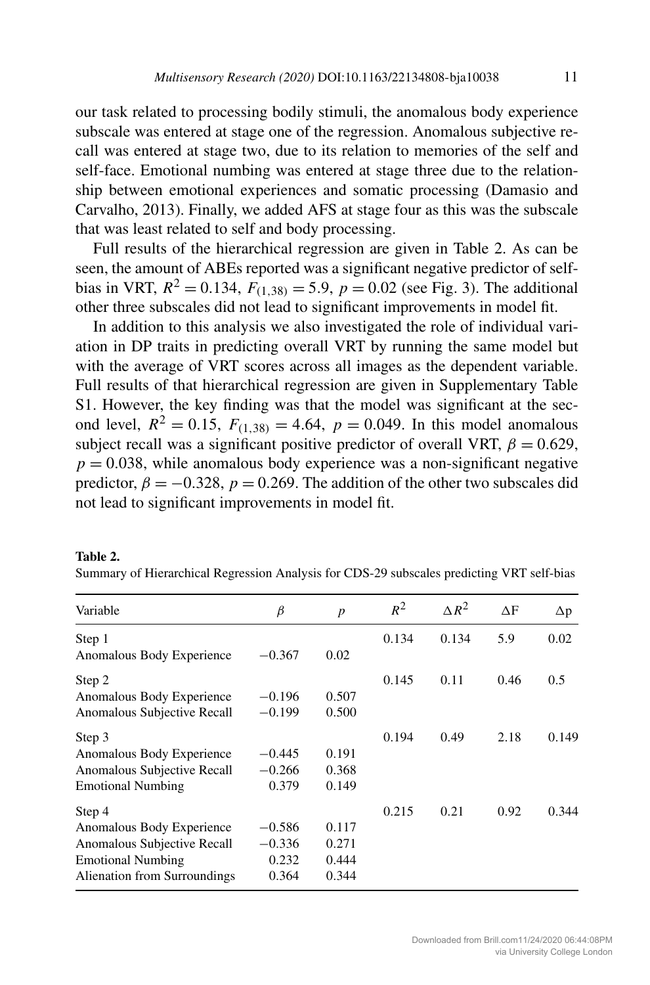our task related to processing bodily stimuli, the anomalous body experience subscale was entered at stage one of the regression. Anomalous subjective recall was entered at stage two, due to its relation to memories of the self and self-face. Emotional numbing was entered at stage three due to the relationship between emotional experiences and somatic processing (Damasio and Carvalho, 2013). Finally, we added AFS at stage four as this was the subscale that was least related to self and body processing.

Full results of the hierarchical regression are given in Table 2. As can be seen, the amount of ABEs reported was a significant negative predictor of selfbias in VRT,  $R^2 = 0.134$ ,  $F_{(1,38)} = 5.9$ ,  $p = 0.02$  (see Fig. 3). The additional other three subscales did not lead to significant improvements in model fit.

In addition to this analysis we also investigated the role of individual variation in DP traits in predicting overall VRT by running the same model but with the average of VRT scores across all images as the dependent variable. Full results of that hierarchical regression are given in [Supplementary Table](https://doi.org/10.6084/m9.figshare.13032395) [S1.](https://doi.org/10.6084/m9.figshare.13032395) However, the key finding was that the model was significant at the second level,  $R^2 = 0.15$ ,  $F_{(1,38)} = 4.64$ ,  $p = 0.049$ . In this model anomalous subject recall was a significant positive predictor of overall VRT,  $\beta = 0.629$ ,  $p = 0.038$ , while anomalous body experience was a non-significant negative predictor,  $\beta = -0.328$ ,  $p = 0.269$ . The addition of the other two subscales did not lead to significant improvements in model fit.

| Variable                     | $\beta$  | $\boldsymbol{p}$ | $R^2$ | $\Delta R^2$ | $\Delta F$ | $\Delta p$ |
|------------------------------|----------|------------------|-------|--------------|------------|------------|
| Step 1                       |          |                  | 0.134 | 0.134        | 5.9        | 0.02       |
| Anomalous Body Experience    | $-0.367$ | 0.02             |       |              |            |            |
| Step 2                       |          |                  | 0.145 | 0.11         | 0.46       | 0.5        |
| Anomalous Body Experience    | $-0.196$ | 0.507            |       |              |            |            |
| Anomalous Subjective Recall  | $-0.199$ | 0.500            |       |              |            |            |
| Step 3                       |          |                  | 0.194 | 0.49         | 2.18       | 0.149      |
| Anomalous Body Experience    | $-0.445$ | 0.191            |       |              |            |            |
| Anomalous Subjective Recall  | $-0.266$ | 0.368            |       |              |            |            |
| <b>Emotional Numbing</b>     | 0.379    | 0.149            |       |              |            |            |
| Step 4                       |          |                  | 0.215 | 0.21         | 0.92       | 0.344      |
| Anomalous Body Experience    | $-0.586$ | 0.117            |       |              |            |            |
| Anomalous Subjective Recall  | $-0.336$ | 0.271            |       |              |            |            |
| <b>Emotional Numbing</b>     | 0.232    | 0.444            |       |              |            |            |
| Alienation from Surroundings | 0.364    | 0.344            |       |              |            |            |
|                              |          |                  |       |              |            |            |

#### **Table 2.**

Summary of Hierarchical Regression Analysis for CDS-29 subscales predicting VRT self-bias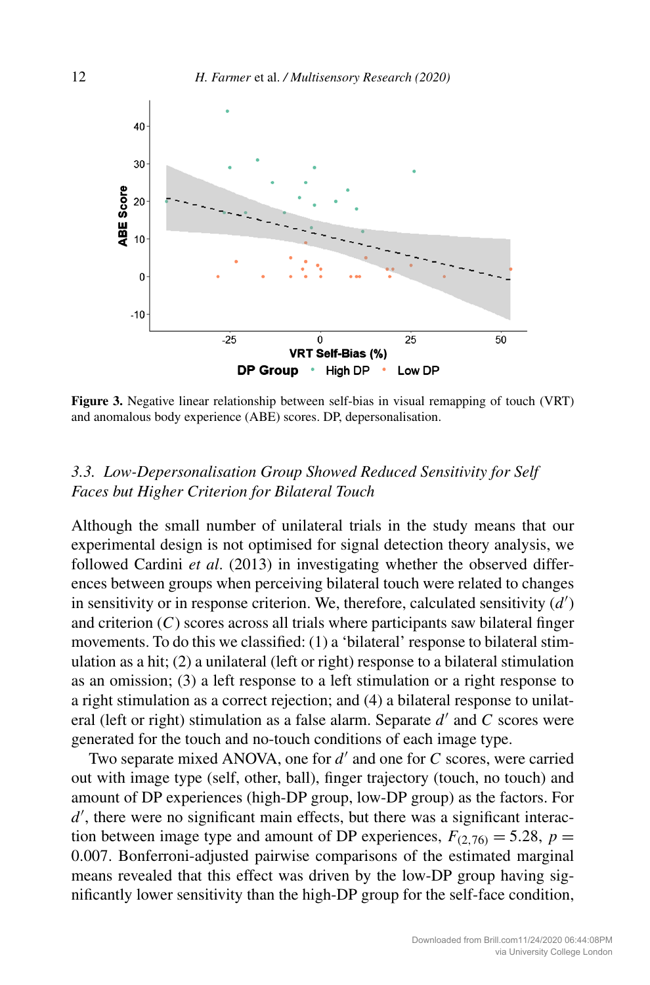

Figure 3. Negative linear relationship between self-bias in visual remapping of touch (VRT) and anomalous body experience (ABE) scores. DP, depersonalisation.

# *3.3. Low-Depersonalisation Group Showed Reduced Sensitivity for Self Faces but Higher Criterion for Bilateral Touch*

Although the small number of unilateral trials in the study means that our experimental design is not optimised for signal detection theory analysis, we followed Cardini *et al*. (2013) in investigating whether the observed differences between groups when perceiving bilateral touch were related to changes in sensitivity or in response criterion. We, therefore, calculated sensitivity (*d* ) and criterion  $(C)$  scores across all trials where participants saw bilateral finger movements. To do this we classified: (1) a 'bilateral' response to bilateral stimulation as a hit; (2) a unilateral (left or right) response to a bilateral stimulation as an omission; (3) a left response to a left stimulation or a right response to a right stimulation as a correct rejection; and (4) a bilateral response to unilateral (left or right) stimulation as a false alarm. Separate  $d'$  and  $C$  scores were generated for the touch and no-touch conditions of each image type.

Two separate mixed ANOVA, one for *d'* and one for *C* scores, were carried out with image type (self, other, ball), finger trajectory (touch, no touch) and amount of DP experiences (high-DP group, low-DP group) as the factors. For *d* , there were no significant main effects, but there was a significant interaction between image type and amount of DP experiences,  $F_{(2,76)} = 5.28$ ,  $p =$ 0*.*007. Bonferroni-adjusted pairwise comparisons of the estimated marginal means revealed that this effect was driven by the low-DP group having significantly lower sensitivity than the high-DP group for the self-face condition,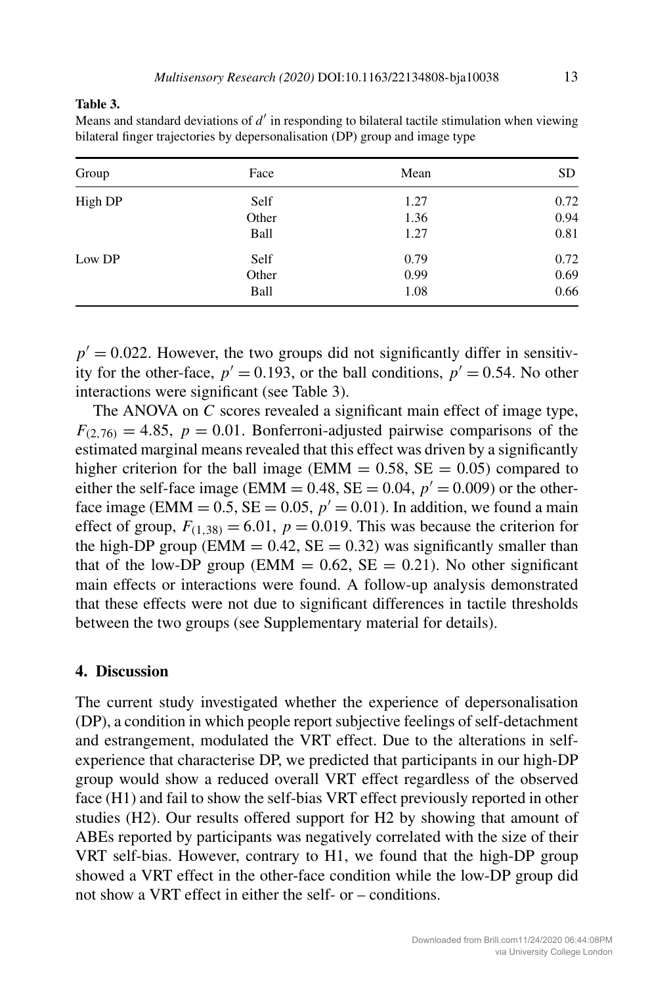#### **Table 3.**

Means and standard deviations of  $d'$  in responding to bilateral tactile stimulation when viewing bilateral finger trajectories by depersonalisation (DP) group and image type

| Group   | Face  | Mean | <b>SD</b> |
|---------|-------|------|-----------|
| High DP | Self  | 1.27 | 0.72      |
|         | Other | 1.36 | 0.94      |
|         | Ball  | 1.27 | 0.81      |
| Low DP  | Self  | 0.79 | 0.72      |
|         | Other | 0.99 | 0.69      |
|         | Ball  | 1.08 | 0.66      |

 $p' = 0.022$ . However, the two groups did not significantly differ in sensitivity for the other-face,  $p' = 0.193$ , or the ball conditions,  $p' = 0.54$ . No other interactions were significant (see Table 3).

The ANOVA on *C* scores revealed a significant main effect of image type,  $F_{(2,76)} = 4.85$ ,  $p = 0.01$ . Bonferroni-adjusted pairwise comparisons of the estimated marginal means revealed that this effect was driven by a significantly higher criterion for the ball image (EMM  $= 0.58$ , SE  $= 0.05$ ) compared to either the self-face image (EMM =  $0.48$ , SE =  $0.04$ ,  $p' = 0.009$ ) or the otherface image (EMM =  $0.5$ , SE =  $0.05$ ,  $p' = 0.01$ ). In addition, we found a main effect of group,  $F_{(1,38)} = 6.01$ ,  $p = 0.019$ . This was because the criterion for the high-DP group (EMM =  $0.42$ , SE =  $0.32$ ) was significantly smaller than that of the low-DP group (EMM =  $0.62$ , SE = 0.21). No other significant main effects or interactions were found. A follow-up analysis demonstrated that these effects were not due to significant differences in tactile thresholds between the two groups (see [Supplementary material](https://doi.org/10.6084/m9.figshare.13032395) for details).

### **4. Discussion**

The current study investigated whether the experience of depersonalisation (DP), a condition in which people report subjective feelings of self-detachment and estrangement, modulated the VRT effect. Due to the alterations in selfexperience that characterise DP, we predicted that participants in our high-DP group would show a reduced overall VRT effect regardless of the observed face (H1) and fail to show the self-bias VRT effect previously reported in other studies (H2). Our results offered support for H2 by showing that amount of ABEs reported by participants was negatively correlated with the size of their VRT self-bias. However, contrary to H1, we found that the high-DP group showed a VRT effect in the other-face condition while the low-DP group did not show a VRT effect in either the self- or – conditions.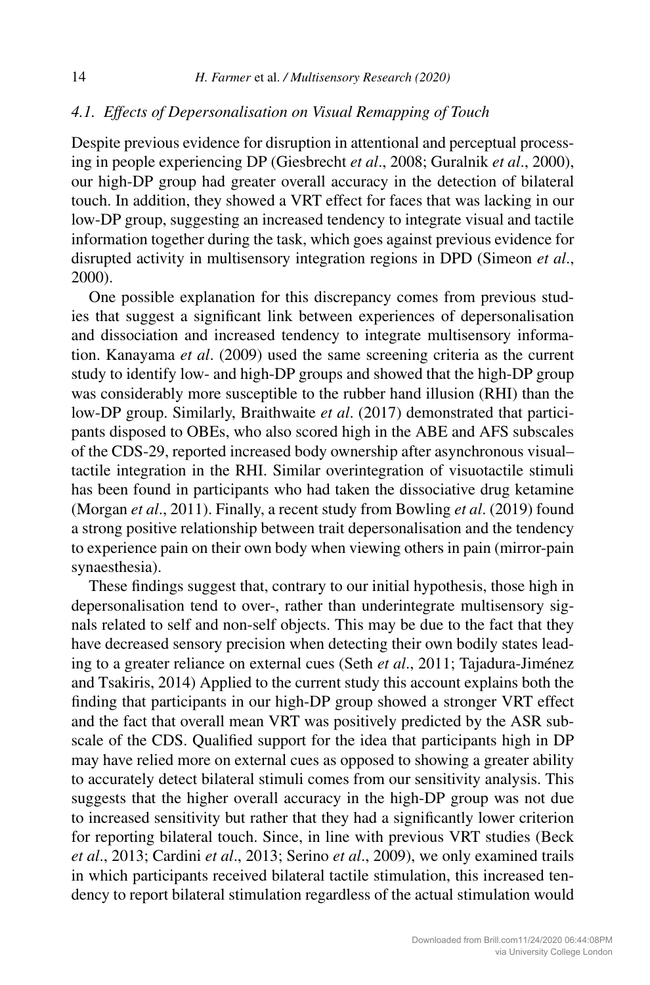#### *4.1. Effects of Depersonalisation on Visual Remapping of Touch*

Despite previous evidence for disruption in attentional and perceptual processing in people experiencing DP (Giesbrecht *et al*., 2008; Guralnik *et al*., 2000), our high-DP group had greater overall accuracy in the detection of bilateral touch. In addition, they showed a VRT effect for faces that was lacking in our low-DP group, suggesting an increased tendency to integrate visual and tactile information together during the task, which goes against previous evidence for disrupted activity in multisensory integration regions in DPD (Simeon *et al*., 2000).

One possible explanation for this discrepancy comes from previous studies that suggest a significant link between experiences of depersonalisation and dissociation and increased tendency to integrate multisensory information. Kanayama *et al*. (2009) used the same screening criteria as the current study to identify low- and high-DP groups and showed that the high-DP group was considerably more susceptible to the rubber hand illusion (RHI) than the low-DP group. Similarly, Braithwaite *et al*. (2017) demonstrated that participants disposed to OBEs, who also scored high in the ABE and AFS subscales of the CDS-29, reported increased body ownership after asynchronous visual– tactile integration in the RHI. Similar overintegration of visuotactile stimuli has been found in participants who had taken the dissociative drug ketamine (Morgan *et al*., 2011). Finally, a recent study from Bowling *et al*. (2019) found a strong positive relationship between trait depersonalisation and the tendency to experience pain on their own body when viewing others in pain (mirror-pain synaesthesia).

These findings suggest that, contrary to our initial hypothesis, those high in depersonalisation tend to over-, rather than underintegrate multisensory signals related to self and non-self objects. This may be due to the fact that they have decreased sensory precision when detecting their own bodily states leading to a greater reliance on external cues (Seth *et al*., 2011; Tajadura-Jiménez and Tsakiris, 2014) Applied to the current study this account explains both the finding that participants in our high-DP group showed a stronger VRT effect and the fact that overall mean VRT was positively predicted by the ASR subscale of the CDS. Qualified support for the idea that participants high in DP may have relied more on external cues as opposed to showing a greater ability to accurately detect bilateral stimuli comes from our sensitivity analysis. This suggests that the higher overall accuracy in the high-DP group was not due to increased sensitivity but rather that they had a significantly lower criterion for reporting bilateral touch. Since, in line with previous VRT studies (Beck *et al*., 2013; Cardini *et al*., 2013; Serino *et al*., 2009), we only examined trails in which participants received bilateral tactile stimulation, this increased tendency to report bilateral stimulation regardless of the actual stimulation would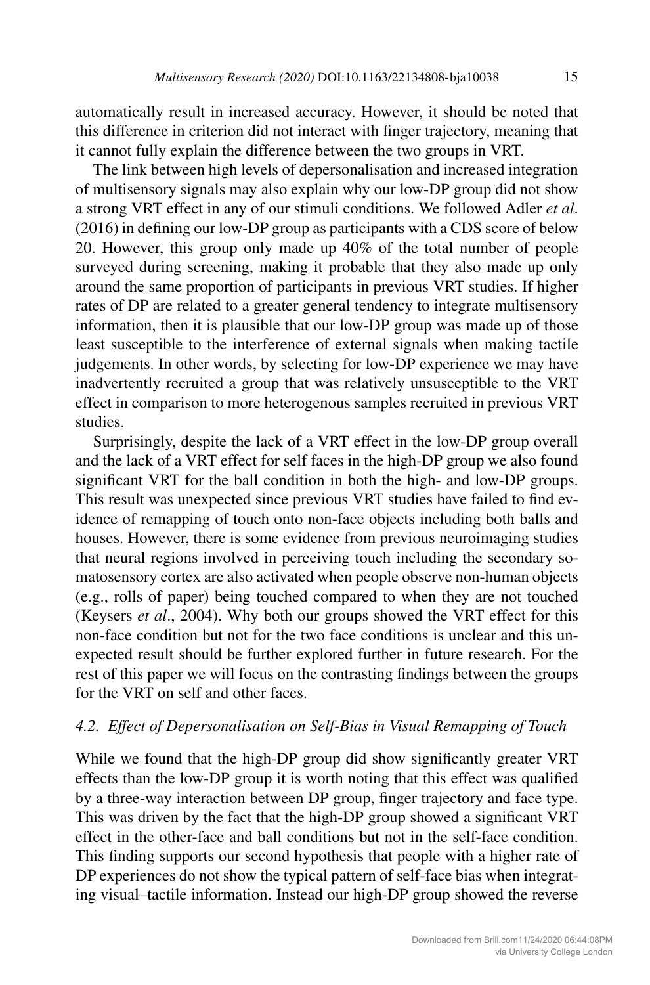automatically result in increased accuracy. However, it should be noted that this difference in criterion did not interact with finger trajectory, meaning that it cannot fully explain the difference between the two groups in VRT.

The link between high levels of depersonalisation and increased integration of multisensory signals may also explain why our low-DP group did not show a strong VRT effect in any of our stimuli conditions. We followed Adler *et al*. (2016) in defining our low-DP group as participants with a CDS score of below 20. However, this group only made up 40% of the total number of people surveyed during screening, making it probable that they also made up only around the same proportion of participants in previous VRT studies. If higher rates of DP are related to a greater general tendency to integrate multisensory information, then it is plausible that our low-DP group was made up of those least susceptible to the interference of external signals when making tactile judgements. In other words, by selecting for low-DP experience we may have inadvertently recruited a group that was relatively unsusceptible to the VRT effect in comparison to more heterogenous samples recruited in previous VRT studies.

Surprisingly, despite the lack of a VRT effect in the low-DP group overall and the lack of a VRT effect for self faces in the high-DP group we also found significant VRT for the ball condition in both the high- and low-DP groups. This result was unexpected since previous VRT studies have failed to find evidence of remapping of touch onto non-face objects including both balls and houses. However, there is some evidence from previous neuroimaging studies that neural regions involved in perceiving touch including the secondary somatosensory cortex are also activated when people observe non-human objects (e.g., rolls of paper) being touched compared to when they are not touched (Keysers *et al*., 2004). Why both our groups showed the VRT effect for this non-face condition but not for the two face conditions is unclear and this unexpected result should be further explored further in future research. For the rest of this paper we will focus on the contrasting findings between the groups for the VRT on self and other faces.

# *4.2. Effect of Depersonalisation on Self-Bias in Visual Remapping of Touch*

While we found that the high-DP group did show significantly greater VRT effects than the low-DP group it is worth noting that this effect was qualified by a three-way interaction between DP group, finger trajectory and face type. This was driven by the fact that the high-DP group showed a significant VRT effect in the other-face and ball conditions but not in the self-face condition. This finding supports our second hypothesis that people with a higher rate of DP experiences do not show the typical pattern of self-face bias when integrating visual–tactile information. Instead our high-DP group showed the reverse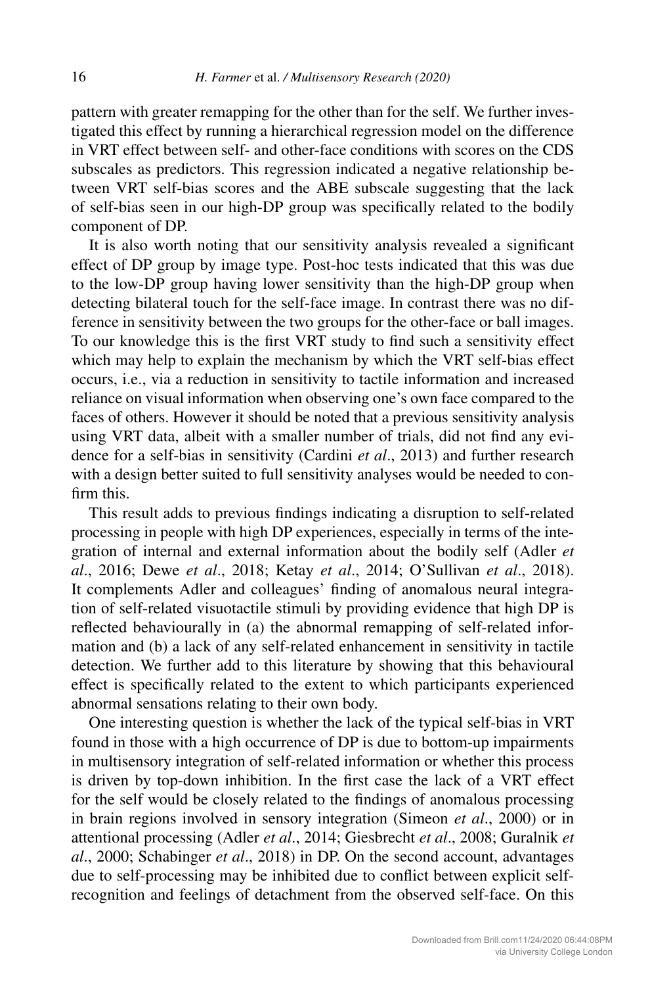pattern with greater remapping for the other than for the self. We further investigated this effect by running a hierarchical regression model on the difference in VRT effect between self- and other-face conditions with scores on the CDS subscales as predictors. This regression indicated a negative relationship between VRT self-bias scores and the ABE subscale suggesting that the lack of self-bias seen in our high-DP group was specifically related to the bodily component of DP.

It is also worth noting that our sensitivity analysis revealed a significant effect of DP group by image type. Post-hoc tests indicated that this was due to the low-DP group having lower sensitivity than the high-DP group when detecting bilateral touch for the self-face image. In contrast there was no difference in sensitivity between the two groups for the other-face or ball images. To our knowledge this is the first VRT study to find such a sensitivity effect which may help to explain the mechanism by which the VRT self-bias effect occurs, i.e., via a reduction in sensitivity to tactile information and increased reliance on visual information when observing one's own face compared to the faces of others. However it should be noted that a previous sensitivity analysis using VRT data, albeit with a smaller number of trials, did not find any evidence for a self-bias in sensitivity (Cardini *et al*., 2013) and further research with a design better suited to full sensitivity analyses would be needed to confirm this.

This result adds to previous findings indicating a disruption to self-related processing in people with high DP experiences, especially in terms of the integration of internal and external information about the bodily self (Adler *et al*., 2016; Dewe *et al*., 2018; Ketay *et al*., 2014; O'Sullivan *et al*., 2018). It complements Adler and colleagues' finding of anomalous neural integration of self-related visuotactile stimuli by providing evidence that high DP is reflected behaviourally in (a) the abnormal remapping of self-related information and (b) a lack of any self-related enhancement in sensitivity in tactile detection. We further add to this literature by showing that this behavioural effect is specifically related to the extent to which participants experienced abnormal sensations relating to their own body.

One interesting question is whether the lack of the typical self-bias in VRT found in those with a high occurrence of DP is due to bottom-up impairments in multisensory integration of self-related information or whether this process is driven by top-down inhibition. In the first case the lack of a VRT effect for the self would be closely related to the findings of anomalous processing in brain regions involved in sensory integration (Simeon *et al*., 2000) or in attentional processing (Adler *et al*., 2014; Giesbrecht *et al*., 2008; Guralnik *et al*., 2000; Schabinger *et al*., 2018) in DP. On the second account, advantages due to self-processing may be inhibited due to conflict between explicit selfrecognition and feelings of detachment from the observed self-face. On this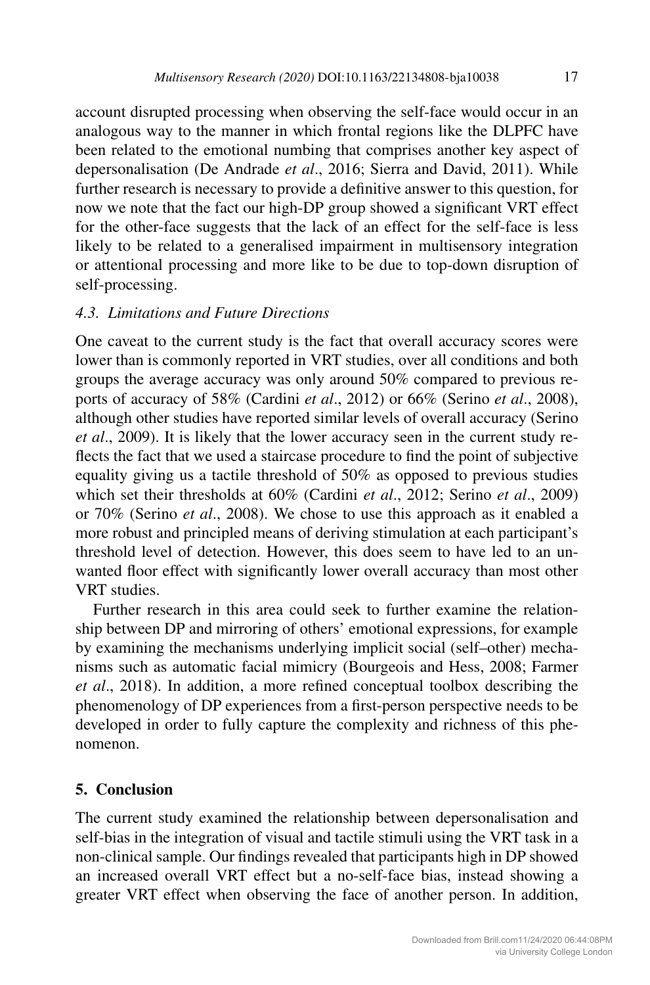account disrupted processing when observing the self-face would occur in an analogous way to the manner in which frontal regions like the DLPFC have been related to the emotional numbing that comprises another key aspect of depersonalisation (De Andrade *et al*., 2016; Sierra and David, 2011). While further research is necessary to provide a definitive answer to this question, for now we note that the fact our high-DP group showed a significant VRT effect for the other-face suggests that the lack of an effect for the self-face is less likely to be related to a generalised impairment in multisensory integration or attentional processing and more like to be due to top-down disruption of self-processing.

### *4.3. Limitations and Future Directions*

One caveat to the current study is the fact that overall accuracy scores were lower than is commonly reported in VRT studies, over all conditions and both groups the average accuracy was only around 50% compared to previous reports of accuracy of 58% (Cardini *et al*., 2012) or 66% (Serino *et al*., 2008), although other studies have reported similar levels of overall accuracy (Serino *et al*., 2009). It is likely that the lower accuracy seen in the current study reflects the fact that we used a staircase procedure to find the point of subjective equality giving us a tactile threshold of 50% as opposed to previous studies which set their thresholds at 60% (Cardini *et al*., 2012; Serino *et al*., 2009) or 70% (Serino *et al*., 2008). We chose to use this approach as it enabled a more robust and principled means of deriving stimulation at each participant's threshold level of detection. However, this does seem to have led to an unwanted floor effect with significantly lower overall accuracy than most other VRT studies.

Further research in this area could seek to further examine the relationship between DP and mirroring of others' emotional expressions, for example by examining the mechanisms underlying implicit social (self–other) mechanisms such as automatic facial mimicry (Bourgeois and Hess, 2008; Farmer *et al*., 2018). In addition, a more refined conceptual toolbox describing the phenomenology of DP experiences from a first-person perspective needs to be developed in order to fully capture the complexity and richness of this phenomenon.

### **5. Conclusion**

The current study examined the relationship between depersonalisation and self-bias in the integration of visual and tactile stimuli using the VRT task in a non-clinical sample. Our findings revealed that participants high in DP showed an increased overall VRT effect but a no-self-face bias, instead showing a greater VRT effect when observing the face of another person. In addition,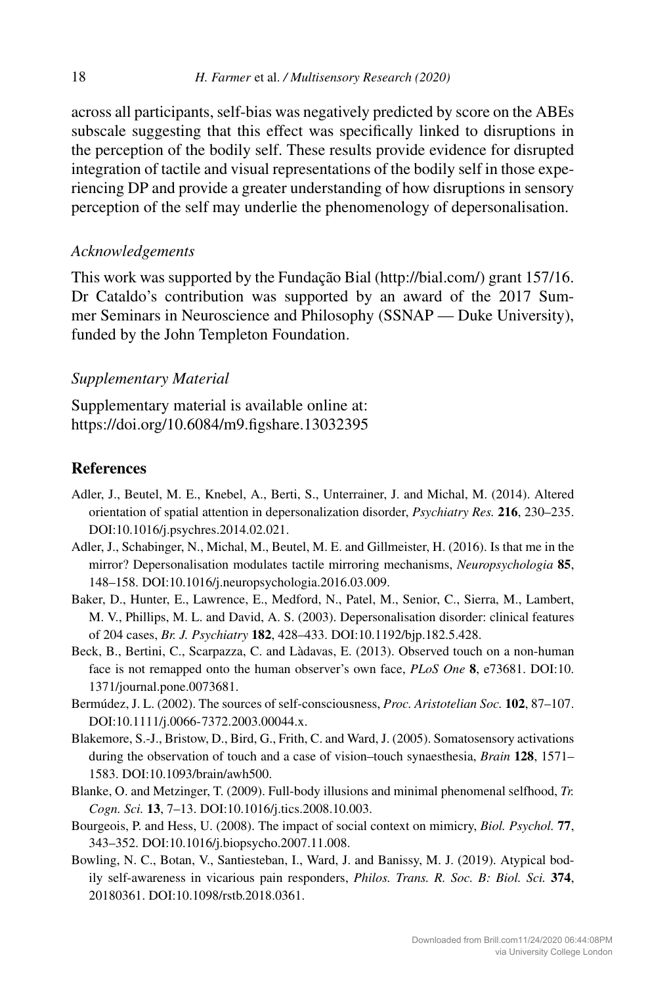across all participants, self-bias was negatively predicted by score on the ABEs subscale suggesting that this effect was specifically linked to disruptions in the perception of the bodily self. These results provide evidence for disrupted integration of tactile and visual representations of the bodily self in those experiencing DP and provide a greater understanding of how disruptions in sensory perception of the self may underlie the phenomenology of depersonalisation.

### *Acknowledgements*

This work was supported by the Fundação Bial [\(http://bial.com/\)](http://bial.com/) grant 157/16. Dr Cataldo's contribution was supported by an award of the 2017 Summer Seminars in Neuroscience and Philosophy (SSNAP — Duke University), funded by the John Templeton Foundation.

### *Supplementary Material*

Supplementary material is available online at: <https://doi.org/10.6084/m9.figshare.13032395>

### **References**

- Adler, J., Beutel, M. E., Knebel, A., Berti, S., Unterrainer, J. and Michal, M. (2014). Altered orientation of spatial attention in depersonalization disorder, *Psychiatry Res.* **216**, 230–235. DOI[:10.1016/j.psychres.2014.02.021.](http://dx.doi.org/10.1016/j.psychres.2014.02.021)
- Adler, J., Schabinger, N., Michal, M., Beutel, M. E. and Gillmeister, H. (2016). Is that me in the mirror? Depersonalisation modulates tactile mirroring mechanisms, *Neuropsychologia* **85**, 148–158. DOI[:10.1016/j.neuropsychologia.2016.03.009.](http://dx.doi.org/10.1016/j.neuropsychologia.2016.03.009)
- Baker, D., Hunter, E., Lawrence, E., Medford, N., Patel, M., Senior, C., Sierra, M., Lambert, M. V., Phillips, M. L. and David, A. S. (2003). Depersonalisation disorder: clinical features of 204 cases, *Br. J. Psychiatry* **182**, 428–433. DOI[:10.1192/bjp.182.5.428.](http://dx.doi.org/10.1192/bjp.182.5.428)
- Beck, B., Bertini, C., Scarpazza, C. and Làdavas, E. (2013). Observed touch on a non-human face is not remapped onto the human observer's own face, *PLoS One* **8**, e73681. DOI[:10.](http://dx.doi.org/10.1371/journal.pone.0073681) [1371/journal.pone.0073681](http://dx.doi.org/10.1371/journal.pone.0073681).
- Bermúdez, J. L. (2002). The sources of self-consciousness, *Proc. Aristotelian Soc.* **102**, 87–107. DOI[:10.1111/j.0066-7372.2003.00044.x.](http://dx.doi.org/10.1111/j.0066-7372.2003.00044.x)
- Blakemore, S.-J., Bristow, D., Bird, G., Frith, C. and Ward, J. (2005). Somatosensory activations during the observation of touch and a case of vision–touch synaesthesia, *Brain* **128**, 1571– 1583. DOI[:10.1093/brain/awh500.](http://dx.doi.org/10.1093/brain/awh500)
- Blanke, O. and Metzinger, T. (2009). Full-body illusions and minimal phenomenal selfhood, *Tr. Cogn. Sci.* **13**, 7–13. DOI:[10.1016/j.tics.2008.10.003.](http://dx.doi.org/10.1016/j.tics.2008.10.003)
- Bourgeois, P. and Hess, U. (2008). The impact of social context on mimicry, *Biol. Psychol.* **77**, 343–352. DOI[:10.1016/j.biopsycho.2007.11.008.](http://dx.doi.org/10.1016/j.biopsycho.2007.11.008)
- Bowling, N. C., Botan, V., Santiesteban, I., Ward, J. and Banissy, M. J. (2019). Atypical bodily self-awareness in vicarious pain responders, *Philos. Trans. R. Soc. B: Biol. Sci.* **374**, 20180361. DOI:[10.1098/rstb.2018.0361](http://dx.doi.org/10.1098/rstb.2018.0361).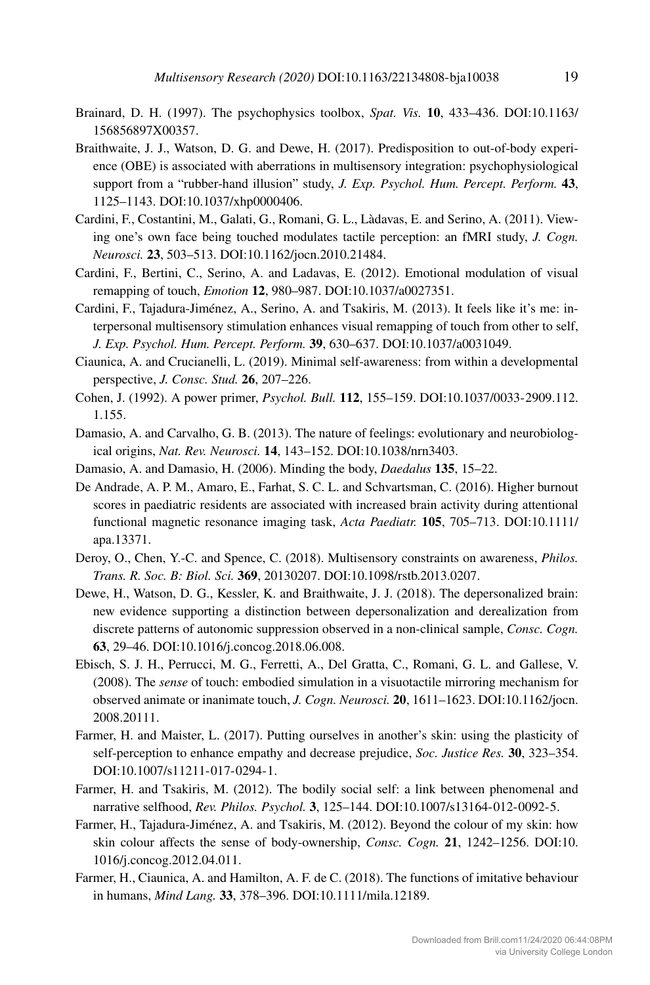- Brainard, D. H. (1997). The psychophysics toolbox, *Spat. Vis.* **10**, 433–436. DOI[:10.1163/](http://dx.doi.org/10.1163/156856897X00357) [156856897X00357](http://dx.doi.org/10.1163/156856897X00357).
- Braithwaite, J. J., Watson, D. G. and Dewe, H. (2017). Predisposition to out-of-body experience (OBE) is associated with aberrations in multisensory integration: psychophysiological support from a "rubber-hand illusion" study, *J. Exp. Psychol. Hum. Percept. Perform.* **43**, 1125–1143. DOI[:10.1037/xhp0000406.](http://dx.doi.org/10.1037/xhp0000406)
- Cardini, F., Costantini, M., Galati, G., Romani, G. L., Làdavas, E. and Serino, A. (2011). Viewing one's own face being touched modulates tactile perception: an fMRI study, *J. Cogn. Neurosci.* **23**, 503–513. DOI[:10.1162/jocn.2010.21484](http://dx.doi.org/10.1162/jocn.2010.21484).
- Cardini, F., Bertini, C., Serino, A. and Ladavas, E. (2012). Emotional modulation of visual remapping of touch, *Emotion* **12**, 980–987. DOI[:10.1037/a0027351](http://dx.doi.org/10.1037/a0027351).
- Cardini, F., Tajadura-Jiménez, A., Serino, A. and Tsakiris, M. (2013). It feels like it's me: interpersonal multisensory stimulation enhances visual remapping of touch from other to self, *J. Exp. Psychol. Hum. Percept. Perform.* **39**, 630–637. DOI[:10.1037/a0031049](http://dx.doi.org/10.1037/a0031049).
- Ciaunica, A. and Crucianelli, L. (2019). Minimal self-awareness: from within a developmental perspective, *J. Consc. Stud.* **26**, 207–226.
- Cohen, J. (1992). A power primer, *Psychol. Bull.* **112**, 155–159. DOI[:10.1037/0033-2909.112.](http://dx.doi.org/10.1037/0033-2909.112.1.155) [1.155](http://dx.doi.org/10.1037/0033-2909.112.1.155).
- Damasio, A. and Carvalho, G. B. (2013). The nature of feelings: evolutionary and neurobiological origins, *Nat. Rev. Neurosci.* **14**, 143–152. DOI[:10.1038/nrn3403.](http://dx.doi.org/10.1038/nrn3403)
- Damasio, A. and Damasio, H. (2006). Minding the body, *Daedalus* **135**, 15–22.
- De Andrade, A. P. M., Amaro, E., Farhat, S. C. L. and Schvartsman, C. (2016). Higher burnout scores in paediatric residents are associated with increased brain activity during attentional functional magnetic resonance imaging task, *Acta Paediatr.* **105**, 705–713. DOI[:10.1111/](http://dx.doi.org/10.1111/apa.13371) [apa.13371](http://dx.doi.org/10.1111/apa.13371).
- Deroy, O., Chen, Y.-C. and Spence, C. (2018). Multisensory constraints on awareness, *Philos. Trans. R. Soc. B: Biol. Sci.* **369**, 20130207. DOI[:10.1098/rstb.2013.0207.](http://dx.doi.org/10.1098/rstb.2013.0207)
- Dewe, H., Watson, D. G., Kessler, K. and Braithwaite, J. J. (2018). The depersonalized brain: new evidence supporting a distinction between depersonalization and derealization from discrete patterns of autonomic suppression observed in a non-clinical sample, *Consc. Cogn.* **63**, 29–46. DOI:[10.1016/j.concog.2018.06.008](http://dx.doi.org/10.1016/j.concog.2018.06.008).
- Ebisch, S. J. H., Perrucci, M. G., Ferretti, A., Del Gratta, C., Romani, G. L. and Gallese, V. (2008). The *sense* of touch: embodied simulation in a visuotactile mirroring mechanism for observed animate or inanimate touch, *J. Cogn. Neurosci.* **20**, 1611–1623. DOI:[10.1162/jocn.](http://dx.doi.org/10.1162/jocn.2008.20111) [2008.20111.](http://dx.doi.org/10.1162/jocn.2008.20111)
- Farmer, H. and Maister, L. (2017). Putting ourselves in another's skin: using the plasticity of self-perception to enhance empathy and decrease prejudice, *Soc. Justice Res.* **30**, 323–354. DOI[:10.1007/s11211-017-0294-1](http://dx.doi.org/10.1007/s11211-017-0294-1).
- Farmer, H. and Tsakiris, M. (2012). The bodily social self: a link between phenomenal and narrative selfhood, *Rev. Philos. Psychol.* **3**, 125–144. DOI:[10.1007/s13164-012-0092-5.](http://dx.doi.org/10.1007/s13164-012-0092-5)
- Farmer, H., Tajadura-Jiménez, A. and Tsakiris, M. (2012). Beyond the colour of my skin: how skin colour affects the sense of body-ownership, *Consc. Cogn.* **21**, 1242–1256. DOI[:10.](http://dx.doi.org/10.1016/j.concog.2012.04.011) [1016/j.concog.2012.04.011](http://dx.doi.org/10.1016/j.concog.2012.04.011).
- Farmer, H., Ciaunica, A. and Hamilton, A. F. de C. (2018). The functions of imitative behaviour in humans, *Mind Lang.* **33**, 378–396. DOI[:10.1111/mila.12189.](http://dx.doi.org/10.1111/mila.12189)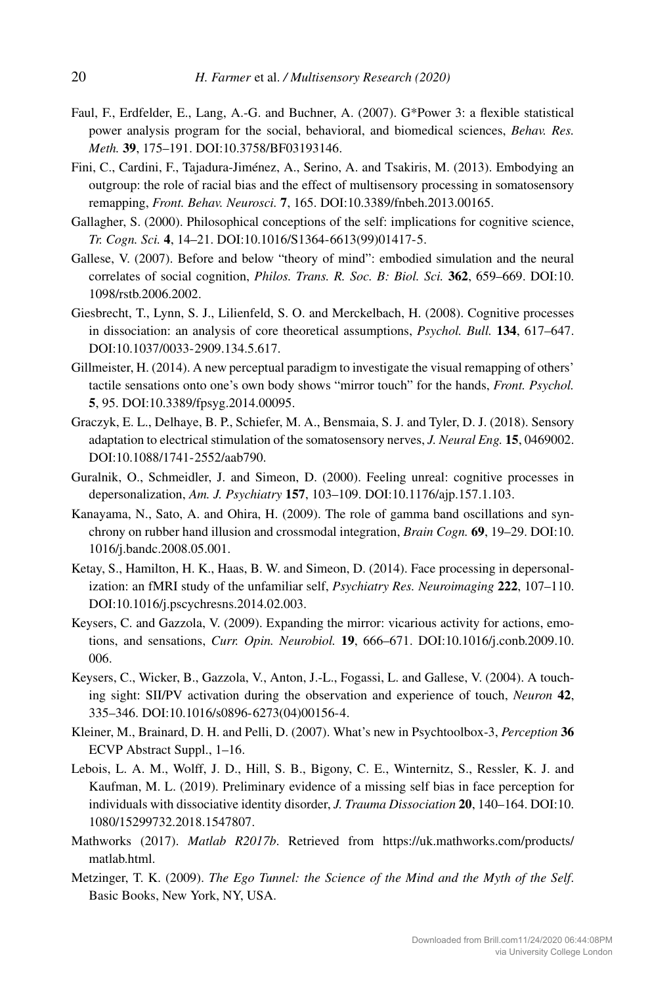- Faul, F., Erdfelder, E., Lang, A.-G. and Buchner, A. (2007). G\*Power 3: a flexible statistical power analysis program for the social, behavioral, and biomedical sciences, *Behav. Res. Meth.* **39**, 175–191. DOI:[10.3758/BF03193146](http://dx.doi.org/10.3758/BF03193146).
- Fini, C., Cardini, F., Tajadura-Jiménez, A., Serino, A. and Tsakiris, M. (2013). Embodying an outgroup: the role of racial bias and the effect of multisensory processing in somatosensory remapping, *Front. Behav. Neurosci.* **7**, 165. DOI[:10.3389/fnbeh.2013.00165.](http://dx.doi.org/10.3389/fnbeh.2013.00165)
- Gallagher, S. (2000). Philosophical conceptions of the self: implications for cognitive science, *Tr. Cogn. Sci.* **4**, 14–21. DOI[:10.1016/S1364-6613\(99\)01417-5.](http://dx.doi.org/10.1016/S1364-6613(99)01417-5)
- Gallese, V. (2007). Before and below "theory of mind": embodied simulation and the neural correlates of social cognition, *Philos. Trans. R. Soc. B: Biol. Sci.* **362**, 659–669. DOI[:10.](http://dx.doi.org/10.1098/rstb.2006.2002) [1098/rstb.2006.2002](http://dx.doi.org/10.1098/rstb.2006.2002).
- Giesbrecht, T., Lynn, S. J., Lilienfeld, S. O. and Merckelbach, H. (2008). Cognitive processes in dissociation: an analysis of core theoretical assumptions, *Psychol. Bull.* **134**, 617–647. DOI[:10.1037/0033-2909.134.5.617.](http://dx.doi.org/10.1037/0033-2909.134.5.617)
- Gillmeister, H. (2014). A new perceptual paradigm to investigate the visual remapping of others' tactile sensations onto one's own body shows "mirror touch" for the hands, *Front. Psychol.* **5**, 95. DOI[:10.3389/fpsyg.2014.00095.](http://dx.doi.org/10.3389/fpsyg.2014.00095)
- Graczyk, E. L., Delhaye, B. P., Schiefer, M. A., Bensmaia, S. J. and Tyler, D. J. (2018). Sensory adaptation to electrical stimulation of the somatosensory nerves, *J. Neural Eng.* **15**, 0469002. DOI[:10.1088/1741-2552/aab790.](http://dx.doi.org/10.1088/1741-2552/aab790)
- Guralnik, O., Schmeidler, J. and Simeon, D. (2000). Feeling unreal: cognitive processes in depersonalization, *Am. J. Psychiatry* **157**, 103–109. DOI[:10.1176/ajp.157.1.103.](http://dx.doi.org/10.1176/ajp.157.1.103)
- Kanayama, N., Sato, A. and Ohira, H. (2009). The role of gamma band oscillations and synchrony on rubber hand illusion and crossmodal integration, *Brain Cogn.* **69**, 19–29. DOI[:10.](http://dx.doi.org/10.1016/j.bandc.2008.05.001) [1016/j.bandc.2008.05.001.](http://dx.doi.org/10.1016/j.bandc.2008.05.001)
- Ketay, S., Hamilton, H. K., Haas, B. W. and Simeon, D. (2014). Face processing in depersonalization: an fMRI study of the unfamiliar self, *Psychiatry Res. Neuroimaging* **222**, 107–110. DOI[:10.1016/j.pscychresns.2014.02.003](http://dx.doi.org/10.1016/j.pscychresns.2014.02.003).
- Keysers, C. and Gazzola, V. (2009). Expanding the mirror: vicarious activity for actions, emotions, and sensations, *Curr. Opin. Neurobiol.* **19**, 666–671. DOI[:10.1016/j.conb.2009.10.](http://dx.doi.org/10.1016/j.conb.2009.10.006) [006.](http://dx.doi.org/10.1016/j.conb.2009.10.006)
- Keysers, C., Wicker, B., Gazzola, V., Anton, J.-L., Fogassi, L. and Gallese, V. (2004). A touching sight: SII/PV activation during the observation and experience of touch, *Neuron* **42**, 335–346. DOI[:10.1016/s0896-6273\(04\)00156-4](http://dx.doi.org/10.1016/s0896-6273(04)00156-4).
- Kleiner, M., Brainard, D. H. and Pelli, D. (2007). What's new in Psychtoolbox-3, *Perception* **36** ECVP Abstract Suppl., 1–16.
- Lebois, L. A. M., Wolff, J. D., Hill, S. B., Bigony, C. E., Winternitz, S., Ressler, K. J. and Kaufman, M. L. (2019). Preliminary evidence of a missing self bias in face perception for individuals with dissociative identity disorder, *J. Trauma Dissociation* **20**, 140–164. DOI[:10.](http://dx.doi.org/10.1080/15299732.2018.1547807) [1080/15299732.2018.1547807](http://dx.doi.org/10.1080/15299732.2018.1547807).
- Mathworks (2017). *Matlab R2017b*. Retrieved from [https://uk.mathworks.com/products/](https://uk.mathworks.com/products/matlab.html) [matlab.html.](https://uk.mathworks.com/products/matlab.html)
- Metzinger, T. K. (2009). *The Ego Tunnel: the Science of the Mind and the Myth of the Self*. Basic Books, New York, NY, USA.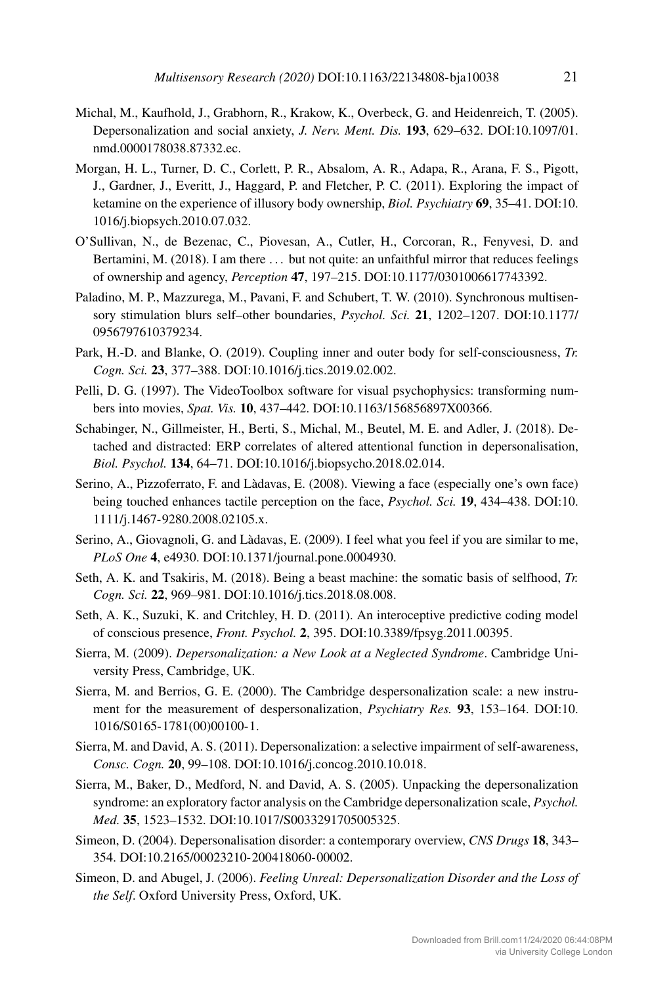- Michal, M., Kaufhold, J., Grabhorn, R., Krakow, K., Overbeck, G. and Heidenreich, T. (2005). Depersonalization and social anxiety, *J. Nerv. Ment. Dis.* **193**, 629–632. DOI[:10.1097/01.](http://dx.doi.org/10.1097/01.nmd.0000178038.87332.ec) [nmd.0000178038.87332.ec.](http://dx.doi.org/10.1097/01.nmd.0000178038.87332.ec)
- Morgan, H. L., Turner, D. C., Corlett, P. R., Absalom, A. R., Adapa, R., Arana, F. S., Pigott, J., Gardner, J., Everitt, J., Haggard, P. and Fletcher, P. C. (2011). Exploring the impact of ketamine on the experience of illusory body ownership, *Biol. Psychiatry* **69**, 35–41. DOI[:10.](http://dx.doi.org/10.1016/j.biopsych.2010.07.032) [1016/j.biopsych.2010.07.032.](http://dx.doi.org/10.1016/j.biopsych.2010.07.032)
- O'Sullivan, N., de Bezenac, C., Piovesan, A., Cutler, H., Corcoran, R., Fenyvesi, D. and Bertamini, M. (2018). I am there *...* but not quite: an unfaithful mirror that reduces feelings of ownership and agency, *Perception* **47**, 197–215. DOI:[10.1177/0301006617743392](http://dx.doi.org/10.1177/0301006617743392).
- Paladino, M. P., Mazzurega, M., Pavani, F. and Schubert, T. W. (2010). Synchronous multisensory stimulation blurs self–other boundaries, *Psychol. Sci.* **21**, 1202–1207. DOI[:10.1177/](http://dx.doi.org/10.1177/0956797610379234) [0956797610379234.](http://dx.doi.org/10.1177/0956797610379234)
- Park, H.-D. and Blanke, O. (2019). Coupling inner and outer body for self-consciousness, *Tr. Cogn. Sci.* **23**, 377–388. DOI[:10.1016/j.tics.2019.02.002.](http://dx.doi.org/10.1016/j.tics.2019.02.002)
- Pelli, D. G. (1997). The VideoToolbox software for visual psychophysics: transforming numbers into movies, *Spat. Vis.* **10**, 437–442. DOI[:10.1163/156856897X00366.](http://dx.doi.org/10.1163/156856897X00366)
- Schabinger, N., Gillmeister, H., Berti, S., Michal, M., Beutel, M. E. and Adler, J. (2018). Detached and distracted: ERP correlates of altered attentional function in depersonalisation, *Biol. Psychol.* **134**, 64–71. DOI[:10.1016/j.biopsycho.2018.02.014.](http://dx.doi.org/10.1016/j.biopsycho.2018.02.014)
- Serino, A., Pizzoferrato, F. and Làdavas, E. (2008). Viewing a face (especially one's own face) being touched enhances tactile perception on the face, *Psychol. Sci.* **19**, 434–438. DOI[:10.](http://dx.doi.org/10.1111/j.1467-9280.2008.02105.x) [1111/j.1467-9280.2008.02105.x](http://dx.doi.org/10.1111/j.1467-9280.2008.02105.x).
- Serino, A., Giovagnoli, G. and Làdavas, E. (2009). I feel what you feel if you are similar to me, *PLoS One* **4**, e4930. DOI:[10.1371/journal.pone.0004930.](http://dx.doi.org/10.1371/journal.pone.0004930)
- Seth, A. K. and Tsakiris, M. (2018). Being a beast machine: the somatic basis of selfhood, *Tr. Cogn. Sci.* **22**, 969–981. DOI[:10.1016/j.tics.2018.08.008.](http://dx.doi.org/10.1016/j.tics.2018.08.008)
- Seth, A. K., Suzuki, K. and Critchley, H. D. (2011). An interoceptive predictive coding model of conscious presence, *Front. Psychol.* **2**, 395. DOI[:10.3389/fpsyg.2011.00395.](http://dx.doi.org/10.3389/fpsyg.2011.00395)
- Sierra, M. (2009). *Depersonalization: a New Look at a Neglected Syndrome*. Cambridge University Press, Cambridge, UK.
- Sierra, M. and Berrios, G. E. (2000). The Cambridge despersonalization scale: a new instrument for the measurement of despersonalization, *Psychiatry Res.* **93**, 153–164. DOI[:10.](http://dx.doi.org/10.1016/S0165-1781(00)00100-1) [1016/S0165-1781\(00\)00100-1](http://dx.doi.org/10.1016/S0165-1781(00)00100-1).
- Sierra, M. and David, A. S. (2011). Depersonalization: a selective impairment of self-awareness, *Consc. Cogn.* **20**, 99–108. DOI:[10.1016/j.concog.2010.10.018](http://dx.doi.org/10.1016/j.concog.2010.10.018).
- Sierra, M., Baker, D., Medford, N. and David, A. S. (2005). Unpacking the depersonalization syndrome: an exploratory factor analysis on the Cambridge depersonalization scale, *Psychol. Med.* **35**, 1523–1532. DOI[:10.1017/S0033291705005325.](http://dx.doi.org/10.1017/S0033291705005325)
- Simeon, D. (2004). Depersonalisation disorder: a contemporary overview, *CNS Drugs* **18**, 343– 354. DOI[:10.2165/00023210-200418060-00002.](http://dx.doi.org/10.2165/00023210-200418060-00002)
- Simeon, D. and Abugel, J. (2006). *Feeling Unreal: Depersonalization Disorder and the Loss of the Self*. Oxford University Press, Oxford, UK.